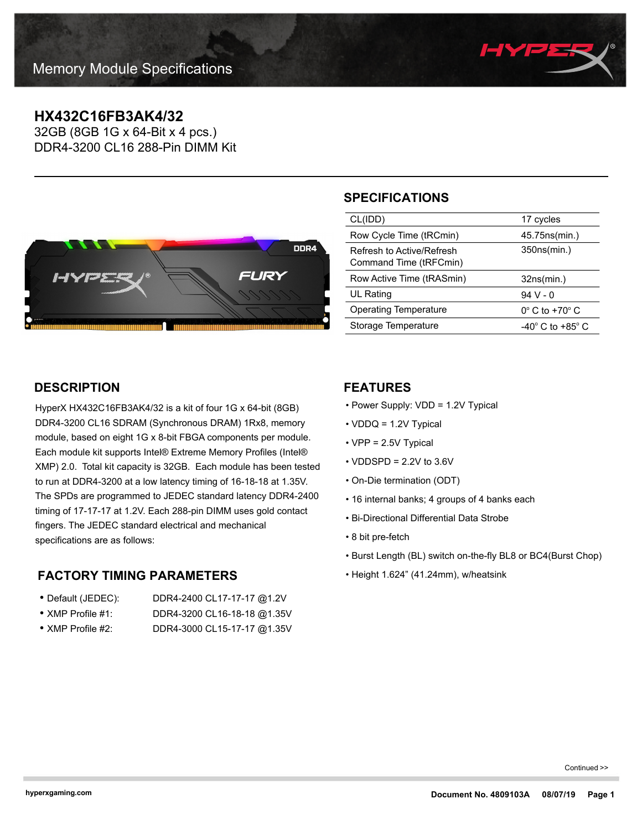

# **HX432C16FB3AK4/32**

32GB (8GB 1G x 64-Bit x 4 pcs.) DDR4-3200 CL16 288-Pin DIMM Kit



## **SPECIFICATIONS**

| CL(IDD)                                             | 17 cycles                            |
|-----------------------------------------------------|--------------------------------------|
| Row Cycle Time (tRCmin)                             | 45.75ns(min.)                        |
| Refresh to Active/Refresh<br>Command Time (tRFCmin) | 350ns(min.)                          |
|                                                     |                                      |
| Row Active Time (tRASmin)                           | 32ns(min.)                           |
| UL Rating                                           | 94 V - 0                             |
| Operating Temperature                               | $0^\circ$ C to +70 $^\circ$ C        |
| Storage Temperature                                 | -40 $^{\circ}$ C to +85 $^{\circ}$ C |

## **DESCRIPTION**

HyperX HX432C16FB3AK4/32 is a kit of four 1G x 64-bit (8GB) DDR4-3200 CL16 SDRAM (Synchronous DRAM) 1Rx8, memory module, based on eight 1G x 8-bit FBGA components per module. Each module kit supports Intel® Extreme Memory Profiles (Intel® XMP) 2.0. Total kit capacity is 32GB. Each module has been tested to run at DDR4-3200 at a low latency timing of 16-18-18 at 1.35V. The SPDs are programmed to JEDEC standard latency DDR4-2400 timing of 17-17-17 at 1.2V. Each 288-pin DIMM uses gold contact fingers. The JEDEC standard electrical and mechanical specifications are as follows:

## **FACTORY TIMING PARAMETERS**

| • Default (JEDEC):        | DDR4-2400 CL17-17-17 @1.2V  |
|---------------------------|-----------------------------|
| $\bullet$ XMP Profile #1: | DDR4-3200 CL16-18-18 @1.35V |

• XMP Profile #2: DDR4-3000 CL15-17-17 @1.35V

### **FEATURES**

- Power Supply: VDD = 1.2V Typical
- VDDQ = 1.2V Typical
- VPP = 2.5V Typical
- $\cdot$  VDDSPD = 2.2V to 3.6V
- On-Die termination (ODT)
- 16 internal banks; 4 groups of 4 banks each
- Bi-Directional Differential Data Strobe
- 8 bit pre-fetch
- Burst Length (BL) switch on-the-fly BL8 or BC4(Burst Chop)
- Height 1.624" (41.24mm), w/heatsink

Continued >>